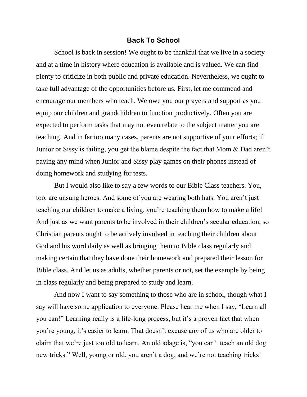## **Back To School**

School is back in session! We ought to be thankful that we live in a society and at a time in history where education is available and is valued. We can find plenty to criticize in both public and private education. Nevertheless, we ought to take full advantage of the opportunities before us. First, let me commend and encourage our members who teach. We owe you our prayers and support as you equip our children and grandchildren to function productively. Often you are expected to perform tasks that may not even relate to the subject matter you are teaching. And in far too many cases, parents are not supportive of your efforts; if Junior or Sissy is failing, you get the blame despite the fact that Mom & Dad aren't paying any mind when Junior and Sissy play games on their phones instead of doing homework and studying for tests.

But I would also like to say a few words to our Bible Class teachers. You, too, are unsung heroes. And some of you are wearing both hats. You aren't just teaching our children to make a living, you're teaching them how to make a life! And just as we want parents to be involved in their children's secular education, so Christian parents ought to be actively involved in teaching their children about God and his word daily as well as bringing them to Bible class regularly and making certain that they have done their homework and prepared their lesson for Bible class. And let us as adults, whether parents or not, set the example by being in class regularly and being prepared to study and learn.

And now I want to say something to those who are in school, though what I say will have some application to everyone. Please hear me when I say, "Learn all you can!" Learning really is a life-long process, but it's a proven fact that when you're young, it's easier to learn. That doesn't excuse any of us who are older to claim that we're just too old to learn. An old adage is, "you can't teach an old dog new tricks." Well, young or old, you aren't a dog, and we're not teaching tricks!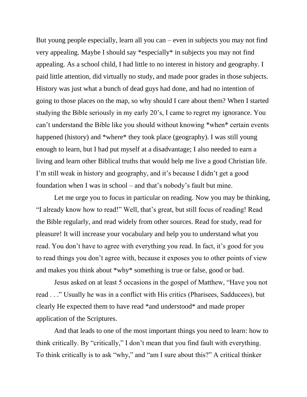But young people especially, learn all you can – even in subjects you may not find very appealing. Maybe I should say \*especially\* in subjects you may not find appealing. As a school child, I had little to no interest in history and geography. I paid little attention, did virtually no study, and made poor grades in those subjects. History was just what a bunch of dead guys had done, and had no intention of going to those places on the map, so why should I care about them? When I started studying the Bible seriously in my early 20's, I came to regret my ignorance. You can't understand the Bible like you should without knowing \*when\* certain events happened (history) and \*where\* they took place (geography). I was still young enough to learn, but I had put myself at a disadvantage; I also needed to earn a living and learn other Biblical truths that would help me live a good Christian life. I'm still weak in history and geography, and it's because I didn't get a good foundation when I was in school – and that's nobody's fault but mine.

Let me urge you to focus in particular on reading. Now you may be thinking, "I already know how to read!" Well, that's great, but still focus of reading! Read the Bible regularly, and read widely from other sources. Read for study, read for pleasure! It will increase your vocabulary and help you to understand what you read. You don't have to agree with everything you read. In fact, it's good for you to read things you don't agree with, because it exposes you to other points of view and makes you think about \*why\* something is true or false, good or bad.

Jesus asked on at least 5 occasions in the gospel of Matthew, "Have you not read . . ." Usually he was in a conflict with His critics (Pharisees, Sadducees), but clearly He expected them to have read \*and understood\* and made proper application of the Scriptures.

And that leads to one of the most important things you need to learn: how to think critically. By "critically," I don't mean that you find fault with everything. To think critically is to ask "why," and "am I sure about this?" A critical thinker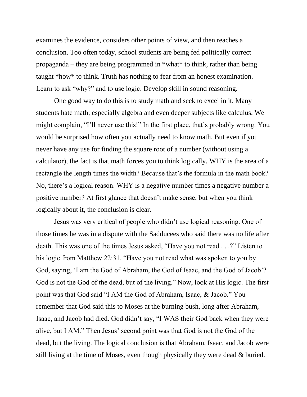examines the evidence, considers other points of view, and then reaches a conclusion. Too often today, school students are being fed politically correct propaganda – they are being programmed in \*what\* to think, rather than being taught \*how\* to think. Truth has nothing to fear from an honest examination. Learn to ask "why?" and to use logic. Develop skill in sound reasoning.

One good way to do this is to study math and seek to excel in it. Many students hate math, especially algebra and even deeper subjects like calculus. We might complain, "I'll never use this!" In the first place, that's probably wrong. You would be surprised how often you actually need to know math. But even if you never have any use for finding the square root of a number (without using a calculator), the fact is that math forces you to think logically. WHY is the area of a rectangle the length times the width? Because that's the formula in the math book? No, there's a logical reason. WHY is a negative number times a negative number a positive number? At first glance that doesn't make sense, but when you think logically about it, the conclusion is clear.

Jesus was very critical of people who didn't use logical reasoning. One of those times he was in a dispute with the Sadducees who said there was no life after death. This was one of the times Jesus asked, "Have you not read . . .?" Listen to his logic from Matthew 22:31. "Have you not read what was spoken to you by God, saying, 'I am the God of Abraham, the God of Isaac, and the God of Jacob'? God is not the God of the dead, but of the living." Now, look at His logic. The first point was that God said "I AM the God of Abraham, Isaac, & Jacob." You remember that God said this to Moses at the burning bush, long after Abraham, Isaac, and Jacob had died. God didn't say, "I WAS their God back when they were alive, but I AM." Then Jesus' second point was that God is not the God of the dead, but the living. The logical conclusion is that Abraham, Isaac, and Jacob were still living at the time of Moses, even though physically they were dead & buried.